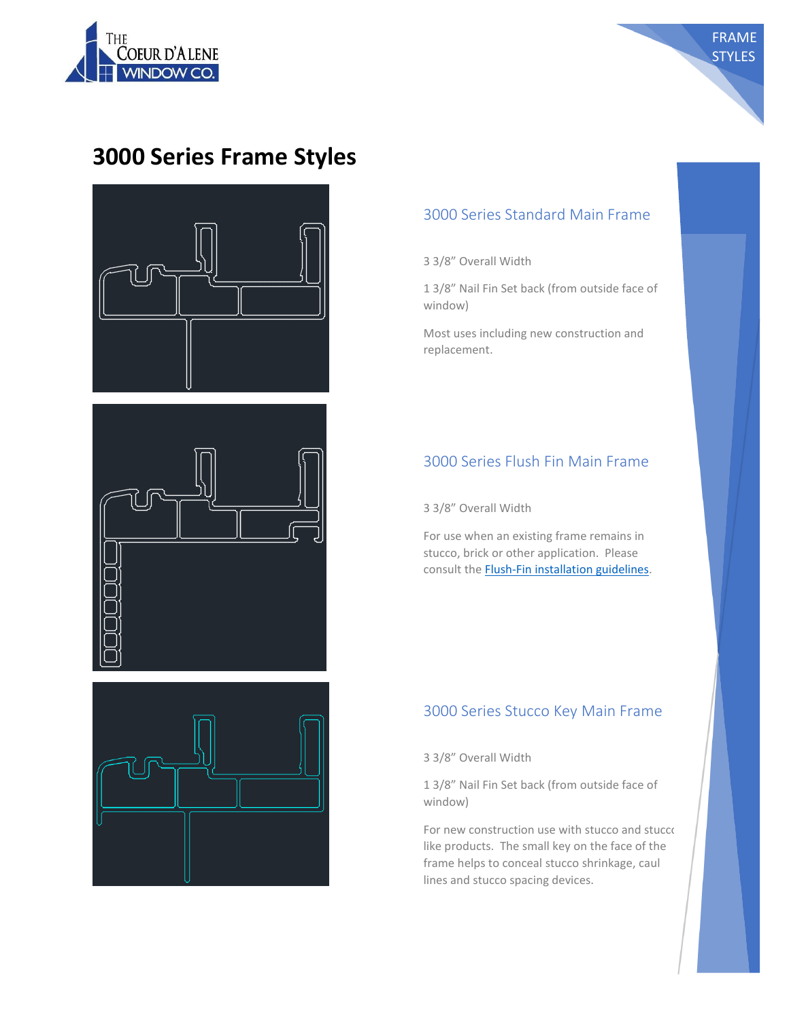

# **3000 Series Frame Styles**





## 3000 Series Standard Main Frame

FRAME **STYLES** 

3 3/8" Overall Width

1 3/8" Nail Fin Set back (from outside face of window)

Most uses including new construction and replacement.

## 3000 Series Flush Fin Main Frame

3 3/8" Overall Width

For use when an existing frame remains in stucco, brick or other application. Please consult th[e Flush-Fin installation guidelines.](https://docs.wixstatic.com/ugd/80a57f_87eabfc963c04affbf5bb60a3806ec3b.pdf)

### 3000 Series Stucco Key Main Frame

3 3/8" Overall Width

1 3/8" Nail Fin Set back (from outside face of window)

For new construction use with stucco and stucco like products. The small key on the face of the frame helps to conceal stucco shrinkage, caul lines and stucco spacing devices.